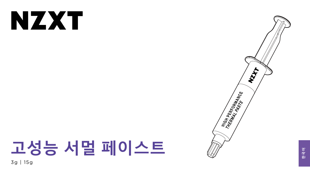# NXX

# 고성능 서멀 페이스트 3g | 15g





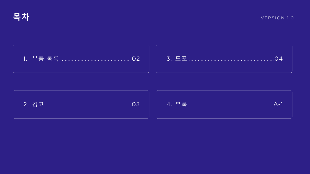







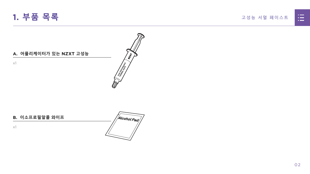#### 고성능 서멀 페이스트



### **A. 어플리케이터가 있는 NZXT 고성능**

x1

<span id="page-2-0"></span>

#### **B. 이소프로필알콜 와이프**

x1



 $\left\langle \frac{\partial}{\partial y}\right\rangle$ 

**CONTRACTES AND SEARCH AND SEARCH AND SEARCH AND SEARCH AND SEARCH AND SEARCH AND SEARCH AND SEARCH AND SEARCH**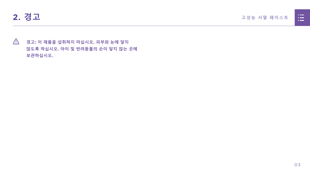<span id="page-3-0"></span>

 **경고: 이 제품을 섭취하지 마십시오. 피부와 눈에 닿지 않도록 하십시오. 아이 및 반려동물의 손이 닿지 않는 곳에 보관하십시오.**

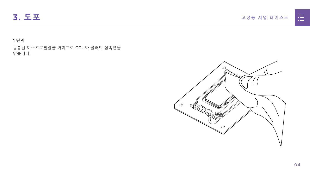## <span id="page-4-0"></span>**3. 도포** 고성능 서멀 페이스트

## **1 단계**

동봉된 이소프로필알콜 와이프로 CPU와 쿨러의 접촉면을 닦습니다.



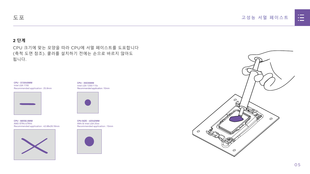



#### **2 단계**

#### CPU 크기에 맞는 모양을 따라 CPU에 서멀 페이스트를 도포합니다 (축척 도면 참조). 쿨러를 설치하기 전에는 손으로 바르지 않아도 됩니다.

#### **도포**

**CPU - 35X35MM** Intel LGA 1200/115x Recommended application : 10mm



**CPU SIZE - 40X40MM** AM4 & Intel LGA 20xx Recommended application : 15mm





**CPU - 68X50.5MM** AMD STR4/sTRX4 Recommended application : 43.68x26.18mm



**CPU - 37.5X45MM** Intel LGA 1700 Recommended application : 25.8mm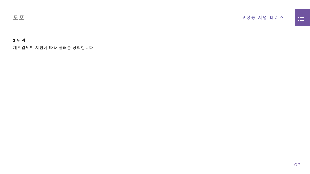## 고성능 서멀 페이스트



## **3 단계**

제조업체의 지침에 따라 쿨러를 장착합니다

**도포**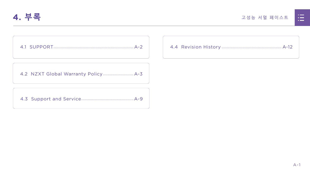<span id="page-7-0"></span>

4.1 SUPPORT

#### 고성능 서멀 페이스트



|  | <u>n in de la</u>                                                                                                     |  |
|--|-----------------------------------------------------------------------------------------------------------------------|--|
|  | <u>ra masa</u>                                                                                                        |  |
|  | <u>a shekara ta 1989, a shekara ta 1989, a shekara ta 1989, a shekara ta 1989, a shekara ta 1989, a shekara ta 19</u> |  |
|  |                                                                                                                       |  |
|  |                                                                                                                       |  |

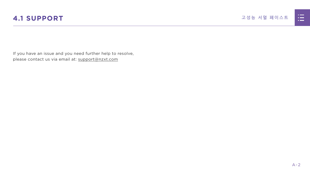

<span id="page-8-0"></span>If you have an issue and you need further help to resolve, please contact us via email at: support@nzxt.com

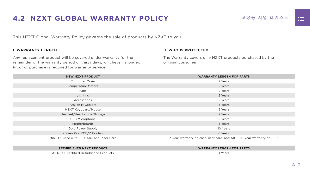



# <span id="page-9-0"></span>**4.2 NZXT GLOBAL WARRANTY POLICY** 고성능 서멀 페이스트

This NZXT Global Warranty Policy governs the sale of products by NZXT to you.

#### **I. WARRANTY LENGTH**

Any replacement product will be covered under warranty for the remainder of the warranty period or thirty days, whichever is longer. Proof of purchase is required for warranty service.

#### **II. WHO IS PROTECTED**

The Warranty covers only NZXT products purchased by the original consumer.

| <b>NEW NZXT PRODUCT</b>                     | <b>WARRANTY LENGTH FOR PARTS</b>                                       |  |  |
|---------------------------------------------|------------------------------------------------------------------------|--|--|
| <b>Computer Cases</b>                       | 2 Years                                                                |  |  |
| <b>Temperature Meters</b>                   | 2 Years                                                                |  |  |
| Fans                                        | 2 Years                                                                |  |  |
| Lighting                                    | 2 Years                                                                |  |  |
| Accessories                                 | 2 Years                                                                |  |  |
| <b>Kraken M Coolers</b>                     | 3 Years                                                                |  |  |
| NZXT Keyboard/Mouse                         | 2 Years                                                                |  |  |
| Headset/Headphone Storage                   | 2 Years                                                                |  |  |
| <b>USB Microphone</b>                       | 2 Years                                                                |  |  |
| Motherboards                                | 3 Years                                                                |  |  |
| <b>Gold Power Supply</b>                    | 10 Years                                                               |  |  |
| Kraken X/X RGB/Z Coolers                    | 6 Years                                                                |  |  |
| Mini ITX Case with PSU, AIO, and Riser Card | 3-year warranty on case, riser card, and AIO. 10-year warranty on PSU. |  |  |

#### **REFURBISHED NZXT PRODUCT WARRANTY LENGTH FOR PARTS**





All NZXT Certified Refurbished Products 1 Years

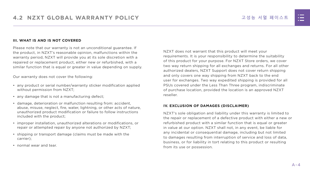#### **III. WHAT IS AND IS NOT COVERED**

Please note that our warranty is not an unconditional guarantee. If the product, in NZXT's reasonable opinion, malfunctions within the warranty period, NZXT will provide you at its sole discretion with a repaired or replacement product, either new or refurbished, with a similar function that is equal or greater in value depending on supply.

Our warranty does not cover the following:

- any product or serial number/warranty sticker modification applied without permission from NZXT;
- any damage that is not a manufacturing defect;
- damage, deterioration or malfunction resulting from: accident, abuse, misuse, neglect, fire, water, lightning, or other acts of nature, unauthorized product modification or failure to follow instructions included with the product;
- improper installation, unauthorized alterations or modifications, or repair or attempted repair by anyone not authorized by NZXT;
- shipping or transport damage (claims must be made with the carrier);
- normal wear and tear.

NZXT does not warrant that this product will meet your requirements. It is your responsibility to determine the suitability of this product for your purpose. For NZXT Store orders, we cover two way return shipping for all exchanges and returns. For all other authorized dealers, NZXT Support does not cover return shipping and only covers one way shipping from NZXT back to the end user for exchanges. Two way expedited shipping is provided for all PSUs covered under the Less Than Three program, indiscriminate of purchase location, provided the location is an approved NZXT reseller.

#### **IV. EXCLUSION OF DAMAGES (DISCLAIMER)**

NZXT's sole obligation and liability under this warranty is limited to the repair or replacement of a defective product with either a new or refurbished product with a similar function that is equal or greater in value at our option. NZXT shall not, in any event, be liable for any incidental or consequential damage, including but not limited to damages resulting from interruption of service and loss of data, business, or for liability in tort relating to this product or resulting from its use or possession.

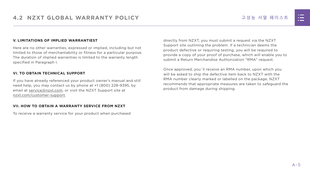#### **V. LIMITATIONS OF IMPLIED WARRANTIEST**

Here are no other warranties, expressed or implied, including but not limited to those of merchantability or fitness for a particular purpose. The duration of implied warranties is limited to the warranty length specified in Paragraph I.

#### **VI. TO OBTAIN TECHNICAL SUPPORT**

If you have already referenced your product owner's manual and still need help, you may contact us by phone at +1 (800) 228-9395, by email at [service@nzxt.com](mailto:service%40nzxt.com?subject=), or visit the NZXT Support site at [nzxt.com/customer-support.](http://nzxt.com/customer-support)

#### **VII. HOW TO OBTAIN A WARRANTY SERVICE FROM NZXT**

To receive a warranty service for your product when purchased

directly from NZXT, you must submit a request via the NZXT Support site outlining the problem. If a technician deems the product defective or requiring testing, you will be required to provide a copy of your proof of purchase, which will enable you to submit a Return Merchandise Authorization "RMA" request.

Once approved, you`ll receive an RMA number, upon which you will be asked to ship the defective item back to NZXT with the RMA number clearly marked or labelled on the package. NZXT recommends that appropriate measures are taken to safeguard the product from damage during shipping.

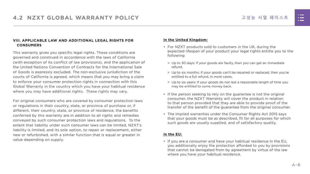#### **VIII. APPLICABLE LAW AND ADDITIONAL LEGAL RIGHTS FOR CONSUMERS**

This warranty gives you specific legal rights. These conditions are governed and construed in accordance with the laws of California (with exception of its conflict of law provisions), and the application of the United Nations Convention of Contracts for the International Sale of Goods is expressly excluded. The non-exclusive jurisdiction of the courts of California is agreed, which means that you may bring a claim to enforce your consumer protection rights in connection with this Global Warranty in the country which you have your habitual residence where you may have additional rights. These rights may vary.

For original consumers who are covered by consumer protection laws or regulations in their country, state, or province of purchase or, if different, their country, state, or province of residence, the benefits conferred by this warranty are in addition to all rights and remedies conveyed by such consumer protection laws and regulations. To the extent that liability under such consumer laws can be limited, NZXT's liability is limited, and its sole option, to repair or replacement, either new or refurbished, with a similar function that is equal or greater in value depending on supply.

#### **In the United Kingdom:**

- For NZXT products sold to customers in the UK, during the expected lifespan of your product your legal rights entitle you to the following:
	- > Up to 30 days: if your goods are faulty, then you can get an immediate refund.
	- > Up to six months: if your goods can't be repaired or replaced, then you're entitled to a full refund, in most cases.
	- > Up to six years: if your goods do not last a reasonable length of time you may be entitled to some money back.
- If the person seeking to rely on the guarantee is not the original consumer, the NZXT Warranty will cover the product in relation to that person provided that they are able to provide proof of the transfer of the benefit of the guarantee from the original consumer.
- The implied warranties under the Consumer Rights Act 2015 says that your goods must be as described, fit for all purposes for which such goods are usually supplied, and of satisfactory quality.

#### **In the EU:**

• If you are a consumer and have your habitual residence in the EU, you additionally enjoy the protection afforded to you by provisions that cannot be derogated from by agreement by virtue of the law where you have your habitual residence.

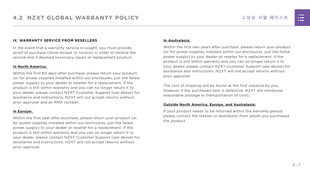#### **IX. WARRANTY SERVICE FROM RESELLERS**

In the event that a warranty service is sought, you must provide proof of purchase (store receipt or invoice) in order to receive the service and if deemed necessary, repair or replacement product.

#### **In North America:**

Within the first 60 days after purchase, please return your product (or for power supplies installed within our enclosures, just the failed power supply) to your dealer or reseller for a replacement. If the product is still within warranty and you can no longer return it to your dealer, please contact NZXT Customer Support (see above) for assistance and instructions. NZXT will not accept returns without prior approval and an RMA number.

#### **In Europe:**

Within the first year after purchase, please return your product (or for power supplies installed within our enclosures, just the failed power supply) to your dealer or reseller for a replacement. If the product is still within warranty and you can no longer return it to your dealer, please contact NZXT Customer Support (see above) for assistance and instructions. NZXT will not accept returns without prior approval.

#### **In Australasia:**

Within the first two years after purchase, please return your product (or for power supplies installed within our enclosures, just the failed power supply) to your dealer or reseller for a replacement. If the product is still within warranty and you can no longer return it to your dealer, please contact NZXT Customer Support (see above) for assistance and instructions. NZXT will not accept returns without prior approval.

The cost of shipping will be borne at the first instance by you; however, if the purchased item is defective, NZXT will reimburse reasonable postage or transportation of costs.

#### **Outside North America, Europe, and Australasia:**

If your product needs to be returned within the warranty period, please contact the retailer or distributor from whom you purchased the product.

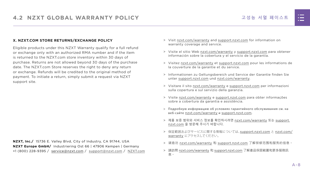#### 고성능 서멀 페이스트

#### **X. NZXT.COM STORE RETURNS/EXCHANGE POLICY**

Eligible products under this NZXT Warranty qualify for a full refund or exchange only with an authorized RMA number and if the item is returned to the NZXT.com store inventory within 30 days of purchase. Returns are not allowed beyond 30 days of the purchase date. The NZXT.com Store reserves the right to deny any return or exchange. Refunds will be credited to the original method of payment. To initiate a return, simply submit a request via NZXT support site.

- > Visit [nzxt.com/warranty](http://nzxt.com/warranty) and [support.nzxt.com](http://support.nzxt.com) for information on warranty coverage and service.
- > Visite el sitio Web [nzxt.com/warranty](http://nzxt.com/warranty) y [support.nzxt.com](http://support.nzxt.com) para obtener información sobre la cobertura y el servicio de la garantía.
- > Visitez [nzxt.com/warranty](http://nzxt.com/warranty) et [support.nzxt.com](http://support.nzxt.com) pour les informations de la couverture de la garantie et du service.
- > Informationen zu Geltungsbereich und Service der Garantie finden Sie unter [support.nzxt.com](http://support.nzxt.com) und [nzxt.com/warranty.](http://nzxt.com/warranty)
- > Visitare il sito [nzxt.com/warranty](http://nzxt.com/warranty) e [support.nzxt.com](http://support.nzxt.com) per informazioni sulla copertura e sul servizio della garanzia.
- > Visite [nzxt.com/warranty](http://nzxt.com/warranty) e [support.nzxt.com](http://support.nzxt.com) para obter informações sobre a cobertura da garantia e assistência.
- > Подробную информацию об условиях гарантийного обслуживания см. на веб-сайте [nzxt.com/warranty](http://nzxt.com/warranty) и [support.nzxt.com](http://support.nzxt.com).
- > 제품 보증 범위와 서비스 정보를 확인하시려면 [nzxt.com/warranty](http://nzxt.com/warranty) 또는 [support.](http://support.nzxt.com) [nzxt.com](http://support.nzxt.com) 을 방문해 주시기 바랍니다.
- > 保証範囲およびサービスに関する情報については、[support.nzxt.com](http://support.nzxt.com) と [nzxt.com/](http://nzxt.com/warranty) [warranty](http://nzxt.com/warranty) にアクセスしてください。
- > 请造访 nzxt.com/warranty 和 [support.nzxt.com](http://support.nzxt.com) 了解保修范围和服务的信息。
- > 請訪問 [nzxt.com/warranty](http://nzxt.com/warranty) 和 [support.nzxt.com](http://support.nzxt.com) 了解產品保固範圍和更多服務訊 息。



**NZXT, Inc./** 15736 E. Valley Blvd, City of Industry, CA 91744, USA **NZXT Europe GmbH/** Industriering Ost 66 | 47906 Kempen | Germany +1 (800) 228-9395 / service@nzxt.com / [support@nzxt.com](mailto:support%40nzxt.com?subject=) / NZX[T.com](http://nzxt.com)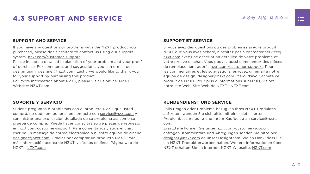

# <span id="page-15-0"></span>**4.3 SUPPORT AND SERVICE** 고성능 서멀 페이스트

#### **SUPPORT AND SERVICE**

If you have any questions or problems with the NZXT product you purchased, please don't hesitate to contact us using our support system. [nzxt.com/customer-support](http://nzxt.com/customer-support)

Please include a detailed explanation of your problem and your proof of purchase. For comments and suggestions, you can e-mail our design team, [designer@nzxt.com.](mailto:designer%40nzxt.com?subject=) Lastly we would like to thank you for your support by purchasing this product.

For more information about NZXT, please visit us online. NZXT Website: NZX[T.com](http://nzxt.com)

#### **SOPORTE Y SERVICIO**

Si tiene preguntas o problemas con el producto NZXT que usted compró, no dude en ponerse en contacto con [service@nzxt.com](mailto:service%40nzxt.com?subject=) y suministrar una explicación detallada de su problema así como su prueba de compra. Puede hacer consultas sobre piezas de repuesto en [nzxt.com/customer-support.](http://nzxt.com/customer-support) Para comentarios y sugerencias, escriba un mensaje de correo electrónico a nuestro equipo de diseño: [designer@nzxt.com.](mailto:designer%40nzxt.com?subject=) Gracias por comprar un producto NZXT. Para más información acerca de NZXT, visítenos en línea. Página web de NZXT: NZX[T.com](http://nzxt.com)

#### **SUPPORT ET SERVICE**

Si vous avez des questions ou des problèmes avec le produit NZXT que vous avez acheté, n'hésitez pas à contacter service@ nzxt.com avec une description détaillée de votre problème et votre preuve d'achat. Vous pouvez aussi commander des pièces de remplacement auprès [nzxt.com/customer-support.](http://nzxt.com/customer-support) Pour les commentaires et les suggestions, envoyez un email à notre équipe de design, [designer@nzxt.com.](mailto:designer%40nzxt.com?subject=) Merci d'avoir acheté ce produit de NZXT. Pour plus d'informations sur NZXT, visitez notre site Web. Site Web de NZXT : NZX[T.com](http://nzxt.com)

#### **KUNDENDIENST UND SERVICE**

Falls Fragen oder Probleme bezüglich Ihres NZXT-Produktes auftreten, wenden Sie sich bitte mit einer detaillierten Problembeschreibung und Ihrem Kaufbeleg an [service@nzxt.](mailto:service%40nzxt.com?subject=) [com](mailto:service%40nzxt.com?subject=).

Ersatzteile können Sie unter [nzxt.com/customer-support](http://nzxt.com/customer-support) anfragen. Kommentare und Anregungen senden Sie bitte per [designer@nzxt.com](mailto:designer%40nzxt.com?subject=) an unser Designteam. Vielen Dank, dass Sie ein NZXT-Produkt erworben haben. Weitere Informationen über NZXT erhalten Sie im Internet. NZXT-Webseite: NZX[T.com](http://nzxt.com)

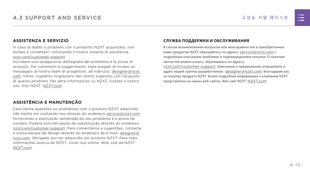#### **ASSISTENZA E SERVIZIO**

In caso di dubbi o problemi con il prodotto NZXT acquistato, non esitate a contattarci utilizzando il nostro sistema di assistenza. [nzxt.com/customer-support](http://nzxt.com/customer-support)

Includere una spiegazione dettagliata del problema e la prova di acquisto. Per commenti e suggerimenti, siete pregati di inviare un messaggio al nostro team di progettisti, all'indirizzo: [designer@nzxt.](mailto:designer%40nzxt.com?subject=) [com](mailto:designer%40nzxt.com?subject=). Infine, vogliamo ringraziarvi del vostro supporto con l'acquisto di questo prodotto. Per altre informazioni su NZXT, visitate il nostro sito. Sito NZXT: NZX[T.com](http://nzxt.com)

## **ASSISTÊNCIA E MANUTENÇÃO**

Caso tenha questões ou problemas com o produto NZXT adquirido, não hesite em contactar-nos através do endereço [service@nzxt.com](mailto:service%40nzxt.com?subject=) fornecendo a explicação detalhada do seu problema e a prova de compra. Poderá solicitar peças de substituição através do endereço [nzxt.com/customer-support.](http://nzxt.com/customer-support) Para comentários e sugestões, contacte a nossa equipa de design através do endereço de e-mail, [designer@](mailto:designer%40nzxt.com?subject=) [nzxt.com.](mailto:designer%40nzxt.com?subject=) Obrigado por ter adquirido um produto NZXT. Para mais informações acerca da NZXT, visite-nos online. Web site da NZXT: NZX[T.com](http://nzxt.com)

#### **СЛУЖБА ПОДДЕРЖКИ И ОБСЛУЖИВАНИЯ**

В случае возникновения вопросов или неисправностей в приобретенных вами продуктах NZXT обращайтесь по адресу: [service@nzxt.com](mailto:service%40nzxt.com?subject=) с подробным описанием проблемы и подтверждением покупки. О наличии запчастей можно узнать, обратившись по адресу:

[nzxt.com/customer-support](http://nzxt.com/customer-support). Замечания и предложения отправляйте в адрес нашей группы разработчиков: [designer@nzxt.com](mailto:designer%40nzxt.com?subject=). Благодарим вас за покупку продукта NZXT. Более подробная информация о компании NZXT представлена на наших веб-сайтах. Веб-сайт NZXT: NZX[T.com](http://nzxt.com)

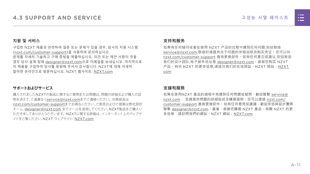

#### **지원 및 서비스**

구입한 NZXT 제품과 관련하여 질문 또는 문제가 있을 경우, 당사의 지원 시스템 ([nzxt.com/customer-support\)](http://nzxt.com/customer-support)을 사용하여 문의하십시오. 문제를 자세히 기술하고 구매 증빙을 제출하십시오. 의견 또는 제안 사항이 잇을 경우 당사 설계 팀에 [designer@nzxt.com](mailto:designer%40nzxt.com?subject=)으로 이메일을 보내십시오. 마지막으로 이 제품을 구입하여 당사를 응원해 주셔서 감사합니다. NZXT에 대해 자세히 알려면 온라인으로 방문하십시오. NZXT 웹사이트: NZX[T.com](http://nzxt.com)

#### **サポートおよびサービス**

購入されましたNZXTの製品に関するご質問または問題は、問題の詳細および購入の証 明を添えて、ご遠慮なく[service@nzxt.com](mailto:service%40nzxt.com?subject=)までご連絡ください。交換部品は [nzxt.com/customer-support](http://nzxt.com/customer-support)までお尋ねください。ご意見およびご提案は弊社設計 チーム、[designer@nzxt.com](mailto:designer%40nzxt.com?subject=) までメールを送信してください。NZXT製品をご購入い ただきましてありがとうございます。 NZXTに関する詳細は、インターネット上のウェブサ イトをご覧ください。NZXT ウェブサイト: NZX[T.com](http://nzxt.com)

#### **支持和服务**

如果有任何疑问或者在使用 NZXT 产品的过程中遇到任何问题,欢迎联络 [service@nzxt.com,](mailto:service%40nzxt.com?subject=)联络时请提供关于问题的详细说明及购买凭证。您可以向 [nzxt.com/customer-support](http://nzxt.com/customer-support) 查询更换部件。如有任何意见或建议,欢迎致信 我们的设计团队,电子邮件地址是 designer@nzxt.com。感谢您购买 NZXT 产品。有关 NZXT 的更多信息,请造访我们的在线网站。NZXT 网站:NZX[T.](http://nzxt.com) [com](http://nzxt.com)

#### **支援和服務**

如果在使用NZXT 產品的過程中有遇到任何問題或疑問, 歡迎聯繫 [service@](mailto:service%40nzxt.com?subject=) [nzxt.com](mailto:service%40nzxt.com?subject=), 並請提供問題的詳細敘述及購買證明。您可以透過 [nzxt.com/](http://nzxt.com/customer-support) [customer-support](http://nzxt.com/customer-support) 查詢更換部件。如有任何意見或建議,歡迎來信與設計團隊 聯繫 designer@nzxt.com。最後,感謝您購買 NZXT 產品。有關 NZXT 的更 多信息,請訪問我們的網站。NZXT 網站: NZXT.com